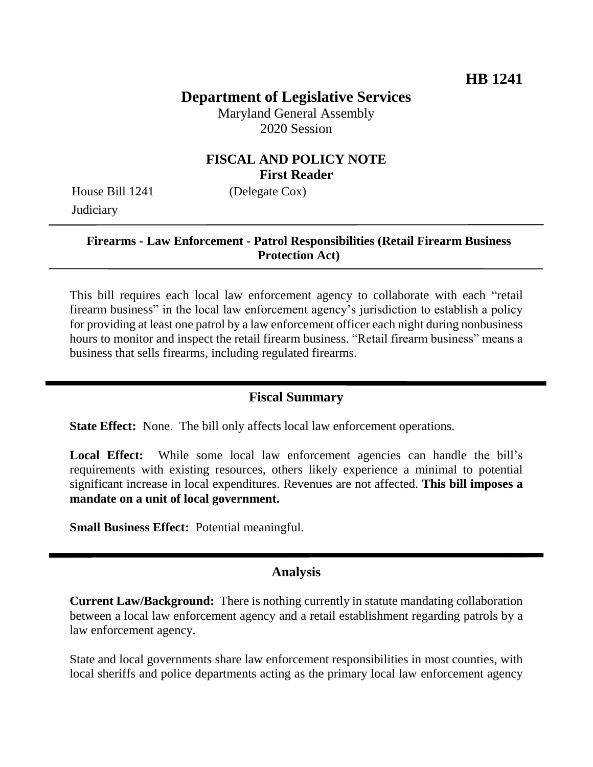# **Department of Legislative Services**

Maryland General Assembly 2020 Session

### **FISCAL AND POLICY NOTE First Reader**

House Bill 1241 (Delegate Cox) **Judiciary** 

#### **Firearms - Law Enforcement - Patrol Responsibilities (Retail Firearm Business Protection Act)**

This bill requires each local law enforcement agency to collaborate with each "retail firearm business" in the local law enforcement agency's jurisdiction to establish a policy for providing at least one patrol by a law enforcement officer each night during nonbusiness hours to monitor and inspect the retail firearm business. "Retail firearm business" means a business that sells firearms, including regulated firearms.

## **Fiscal Summary**

**State Effect:** None. The bill only affects local law enforcement operations.

Local Effect: While some local law enforcement agencies can handle the bill's requirements with existing resources, others likely experience a minimal to potential significant increase in local expenditures. Revenues are not affected. **This bill imposes a mandate on a unit of local government.**

**Small Business Effect:** Potential meaningful.

#### **Analysis**

**Current Law/Background:** There is nothing currently in statute mandating collaboration between a local law enforcement agency and a retail establishment regarding patrols by a law enforcement agency.

State and local governments share law enforcement responsibilities in most counties, with local sheriffs and police departments acting as the primary local law enforcement agency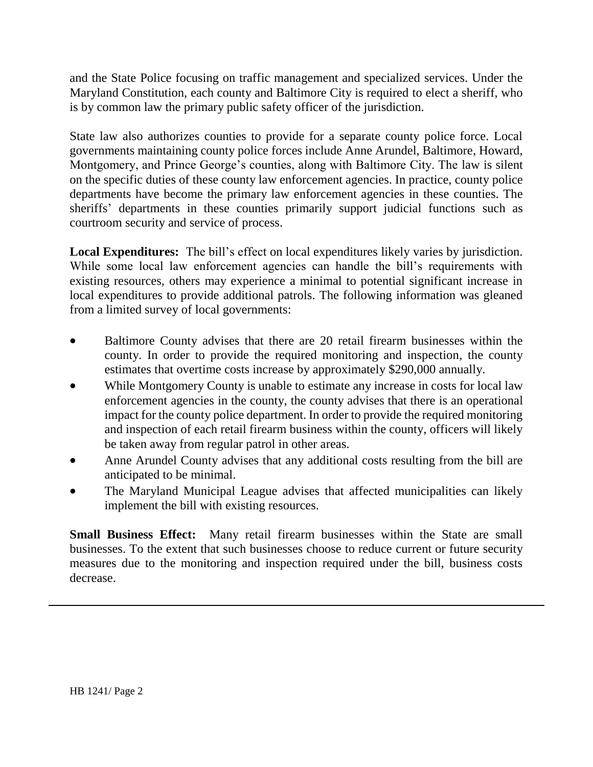and the State Police focusing on traffic management and specialized services. Under the Maryland Constitution, each county and Baltimore City is required to elect a sheriff, who is by common law the primary public safety officer of the jurisdiction.

State law also authorizes counties to provide for a separate county police force. Local governments maintaining county police forces include Anne Arundel, Baltimore, Howard, Montgomery, and Prince George's counties, along with Baltimore City. The law is silent on the specific duties of these county law enforcement agencies. In practice, county police departments have become the primary law enforcement agencies in these counties. The sheriffs' departments in these counties primarily support judicial functions such as courtroom security and service of process.

**Local Expenditures:** The bill's effect on local expenditures likely varies by jurisdiction. While some local law enforcement agencies can handle the bill's requirements with existing resources, others may experience a minimal to potential significant increase in local expenditures to provide additional patrols. The following information was gleaned from a limited survey of local governments:

- Baltimore County advises that there are 20 retail firearm businesses within the county. In order to provide the required monitoring and inspection, the county estimates that overtime costs increase by approximately \$290,000 annually.
- While Montgomery County is unable to estimate any increase in costs for local law enforcement agencies in the county, the county advises that there is an operational impact for the county police department. In order to provide the required monitoring and inspection of each retail firearm business within the county, officers will likely be taken away from regular patrol in other areas.
- Anne Arundel County advises that any additional costs resulting from the bill are anticipated to be minimal.
- The Maryland Municipal League advises that affected municipalities can likely implement the bill with existing resources.

**Small Business Effect:** Many retail firearm businesses within the State are small businesses. To the extent that such businesses choose to reduce current or future security measures due to the monitoring and inspection required under the bill, business costs decrease.